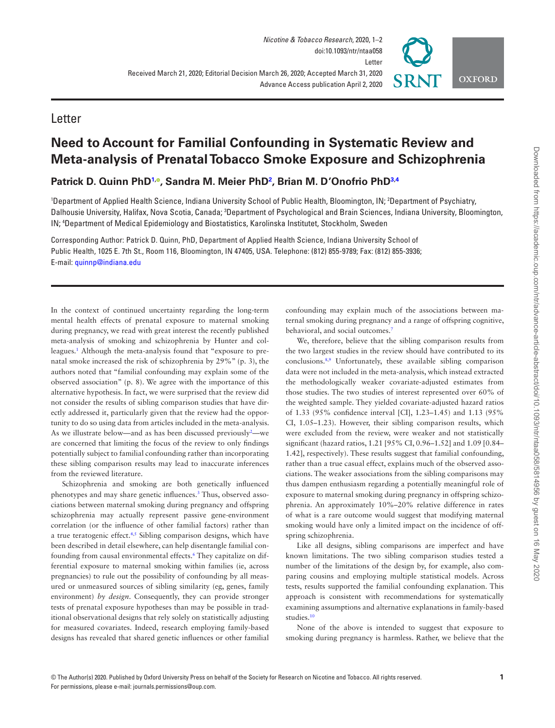## **Letter**

# **Need to Account for Familial Confounding in Systematic Review and Meta-analysis of Prenatal Tobacco Smoke Exposure and Schizophrenia**

**Patrick D. Quinn PhD1, , Sandra M. Meier PhD<sup>2</sup> , Brian M. D'Onofrio PhD3,4**

<sup>1</sup>Department of Applied Health Science, Indiana University School of Public Health, Bloomington, IN; <sup>2</sup>Department of Psychiatry, Dalhousie University, Halifax, Nova Scotia, Canada; <sup>3</sup>Department of Psychological and Brain Sciences, Indiana University, Bloomington, IN; <sup>4</sup>Department of Medical Epidemiology and Biostatistics, Karolinska Institutet, Stockholm, Sweden

Corresponding Author: Patrick D. Quinn, PhD, Department of Applied Health Science, Indiana University School of Public Health, 1025 E. 7th St., Room 116, Bloomington, IN 47405, USA. Telephone: (812) 855-9789; Fax: (812) 855-3936; E-mail: quinnp@indiana.edu

In the context of continued uncertainty regarding the long-term mental health effects of prenatal exposure to maternal smoking during pregnancy, we read with great interest the recently published meta-analysis of smoking and schizophrenia by Hunter and colleagues.<sup>1</sup> Although the meta-analysis found that "exposure to prenatal smoke increased the risk of schizophrenia by 29%" (p. 3), the authors noted that "familial confounding may explain some of the observed association" (p. 8). We agree with the importance of this alternative hypothesis. In fact, we were surprised that the review did not consider the results of sibling comparison studies that have directly addressed it, particularly given that the review had the opportunity to do so using data from articles included in the meta-analysis. As we illustrate below—and as has been discussed previously<sup>2</sup>—we are concerned that limiting the focus of the review to only findings potentially subject to familial confounding rather than incorporating these sibling comparison results may lead to inaccurate inferences from the reviewed literature.

Schizophrenia and smoking are both genetically influenced phenotypes and may share genetic influences.<sup>3</sup> Thus, observed associations between maternal smoking during pregnancy and offspring schizophrenia may actually represent passive gene-environment correlation (or the influence of other familial factors) rather than a true teratogenic effect.<sup>4,5</sup> Sibling comparison designs, which have been described in detail elsewhere, can help disentangle familial confounding from causal environmental effects.<sup>6</sup> They capitalize on differential exposure to maternal smoking within families (ie, across pregnancies) to rule out the possibility of confounding by all measured or unmeasured sources of sibling similarity (eg, genes, family environment) *by design*. Consequently, they can provide stronger tests of prenatal exposure hypotheses than may be possible in traditional observational designs that rely solely on statistically adjusting for measured covariates. Indeed, research employing family-based designs has revealed that shared genetic influences or other familial confounding may explain much of the associations between maternal smoking during pregnancy and a range of offspring cognitive, behavioral, and social outcomes.<sup>7</sup>

We, therefore, believe that the sibling comparison results from the two largest studies in the review should have contributed to its conclusions.8,9 Unfortunately, these available sibling comparison data were not included in the meta-analysis, which instead extracted the methodologically weaker covariate-adjusted estimates from those studies. The two studies of interest represented over 60% of the weighted sample. They yielded covariate-adjusted hazard ratios of 1.33 (95% confidence interval [CI], 1.23–1.45) and 1.13 (95% CI, 1.05–1.23). However, their sibling comparison results, which were excluded from the review, were weaker and not statistically significant (hazard ratios, 1.21 [95% CI, 0.96–1.52] and 1.09 [0.84– 1.42], respectively). These results suggest that familial confounding, rather than a true casual effect, explains much of the observed associations. The weaker associations from the sibling comparisons may thus dampen enthusiasm regarding a potentially meaningful role of exposure to maternal smoking during pregnancy in offspring schizophrenia. An approximately 10%–20% relative difference in rates of what is a rare outcome would suggest that modifying maternal smoking would have only a limited impact on the incidence of offspring schizophrenia.

Like all designs, sibling comparisons are imperfect and have known limitations. The two sibling comparison studies tested a number of the limitations of the design by, for example, also comparing cousins and employing multiple statistical models. Across tests, results supported the familial confounding explanation. This approach is consistent with recommendations for systematically examining assumptions and alternative explanations in family-based studies.<sup>10</sup>

None of the above is intended to suggest that exposure to smoking during pregnancy is harmless. Rather, we believe that the

**OXFORD**